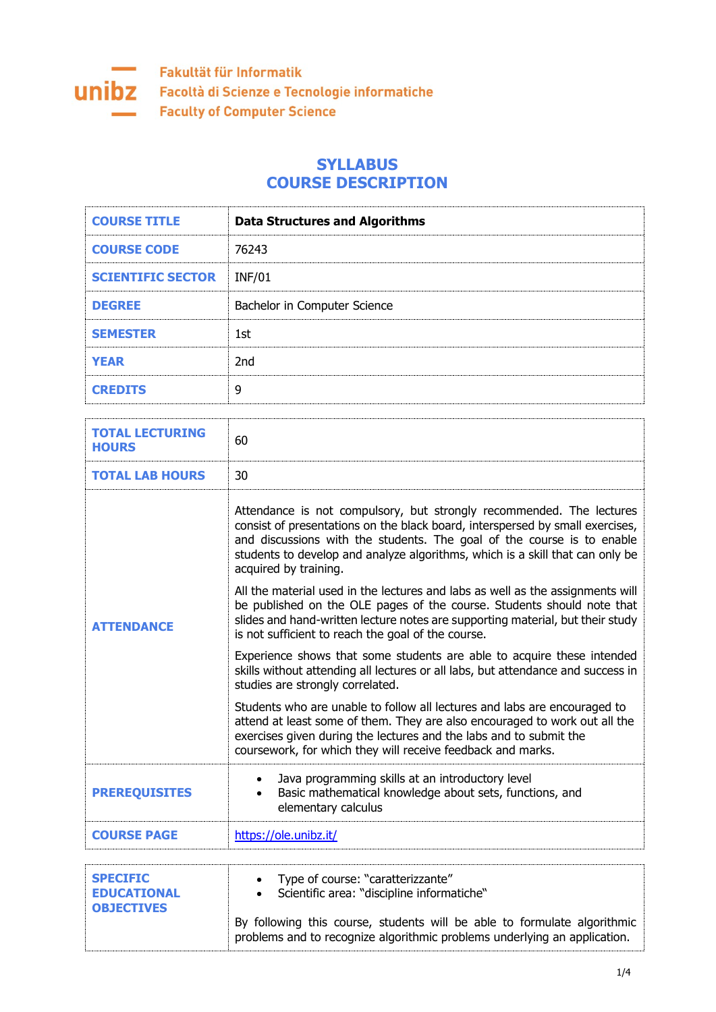

## **SYLLABUS COURSE DESCRIPTION**

| <b>COURSE TITLE</b>      | <b>Data Structures and Algorithms</b> |
|--------------------------|---------------------------------------|
| <b>COURSE CODE</b>       | 76243                                 |
| <b>SCIENTIFIC SECTOR</b> | <b>INF/01</b>                         |
| <b>DEGREE</b>            | Bachelor in Computer Science          |
| <b>SEMESTER</b>          | 1st                                   |
| <b>YEAR</b>              | 2nd                                   |
| <b>CREDITS</b>           | 9                                     |

| 60<br>30                                                                                                                                                                                                                                                                                                                                  |
|-------------------------------------------------------------------------------------------------------------------------------------------------------------------------------------------------------------------------------------------------------------------------------------------------------------------------------------------|
|                                                                                                                                                                                                                                                                                                                                           |
|                                                                                                                                                                                                                                                                                                                                           |
| Attendance is not compulsory, but strongly recommended. The lectures<br>consist of presentations on the black board, interspersed by small exercises,<br>and discussions with the students. The goal of the course is to enable<br>students to develop and analyze algorithms, which is a skill that can only be<br>acquired by training. |
| All the material used in the lectures and labs as well as the assignments will<br>be published on the OLE pages of the course. Students should note that<br>slides and hand-written lecture notes are supporting material, but their study<br>is not sufficient to reach the goal of the course.                                          |
| Experience shows that some students are able to acquire these intended<br>skills without attending all lectures or all labs, but attendance and success in<br>studies are strongly correlated.                                                                                                                                            |
| Students who are unable to follow all lectures and labs are encouraged to<br>attend at least some of them. They are also encouraged to work out all the<br>exercises given during the lectures and the labs and to submit the<br>coursework, for which they will receive feedback and marks.                                              |
| Java programming skills at an introductory level<br>Basic mathematical knowledge about sets, functions, and<br>elementary calculus                                                                                                                                                                                                        |
| https://ole.unibz.it/                                                                                                                                                                                                                                                                                                                     |
|                                                                                                                                                                                                                                                                                                                                           |
| Type of course: "caratterizzante"<br>Scientific area: "discipline informatiche"<br>By following this course, students will be able to formulate algorithmic<br>problems and to recognize algorithmic problems underlying an application.                                                                                                  |
|                                                                                                                                                                                                                                                                                                                                           |

÷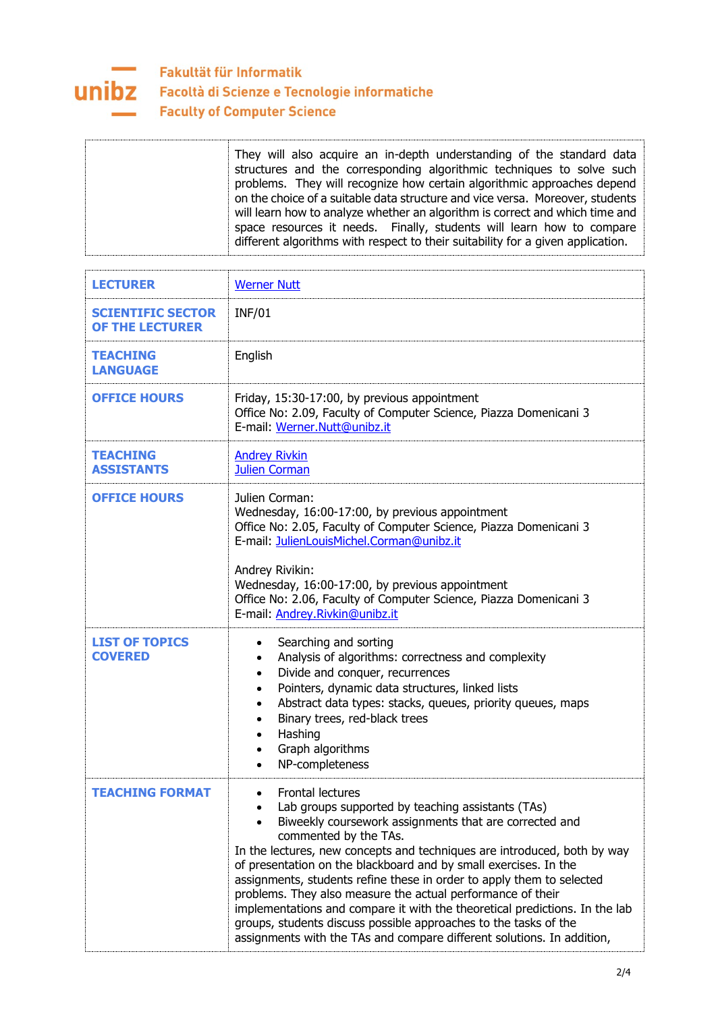

## Fakultät für Informatik **UNIDZ** Facoltà di Scienze e Tecnologie informatiche **Faculty of Computer Science**

| <b>LECTURER</b>                                    | <b>Werner Nutt</b>                                                                                                                                                                                                                                                                                                                                                                                                                                                                                                                                                                                                                                                            |
|----------------------------------------------------|-------------------------------------------------------------------------------------------------------------------------------------------------------------------------------------------------------------------------------------------------------------------------------------------------------------------------------------------------------------------------------------------------------------------------------------------------------------------------------------------------------------------------------------------------------------------------------------------------------------------------------------------------------------------------------|
| <b>SCIENTIFIC SECTOR</b><br><b>OF THE LECTURER</b> | <b>INF/01</b>                                                                                                                                                                                                                                                                                                                                                                                                                                                                                                                                                                                                                                                                 |
| <b>TEACHING</b><br><b>LANGUAGE</b>                 | English                                                                                                                                                                                                                                                                                                                                                                                                                                                                                                                                                                                                                                                                       |
| <b>OFFICE HOURS</b>                                | Friday, 15:30-17:00, by previous appointment<br>Office No: 2.09, Faculty of Computer Science, Piazza Domenicani 3<br>E-mail: Werner.Nutt@unibz.it                                                                                                                                                                                                                                                                                                                                                                                                                                                                                                                             |
| <b>TEACHING</b><br><b>ASSISTANTS</b>               | <b>Andrey Rivkin</b><br><b>Julien Corman</b>                                                                                                                                                                                                                                                                                                                                                                                                                                                                                                                                                                                                                                  |
| <b>OFFICE HOURS</b>                                | Julien Corman:<br>Wednesday, 16:00-17:00, by previous appointment<br>Office No: 2.05, Faculty of Computer Science, Piazza Domenicani 3<br>E-mail: JulienLouisMichel.Corman@unibz.it<br>Andrey Rivikin:<br>Wednesday, 16:00-17:00, by previous appointment<br>Office No: 2.06, Faculty of Computer Science, Piazza Domenicani 3<br>E-mail: Andrey.Rivkin@unibz.it                                                                                                                                                                                                                                                                                                              |
| <b>LIST OF TOPICS</b><br><b>COVERED</b>            | Searching and sorting<br>Analysis of algorithms: correctness and complexity<br>$\bullet$<br>Divide and conquer, recurrences<br>$\bullet$<br>Pointers, dynamic data structures, linked lists<br>$\bullet$<br>Abstract data types: stacks, queues, priority queues, maps<br>$\bullet$<br>Binary trees, red-black trees<br>$\bullet$<br>Hashing<br>$\bullet$<br>Graph algorithms<br>$\bullet$<br>NP-completeness                                                                                                                                                                                                                                                                 |
| <b>TEACHING FORMAT</b>                             | Frontal lectures<br>Lab groups supported by teaching assistants (TAs)<br>Biweekly coursework assignments that are corrected and<br>commented by the TAs.<br>In the lectures, new concepts and techniques are introduced, both by way<br>of presentation on the blackboard and by small exercises. In the<br>assignments, students refine these in order to apply them to selected<br>problems. They also measure the actual performance of their<br>implementations and compare it with the theoretical predictions. In the lab<br>groups, students discuss possible approaches to the tasks of the<br>assignments with the TAs and compare different solutions. In addition, |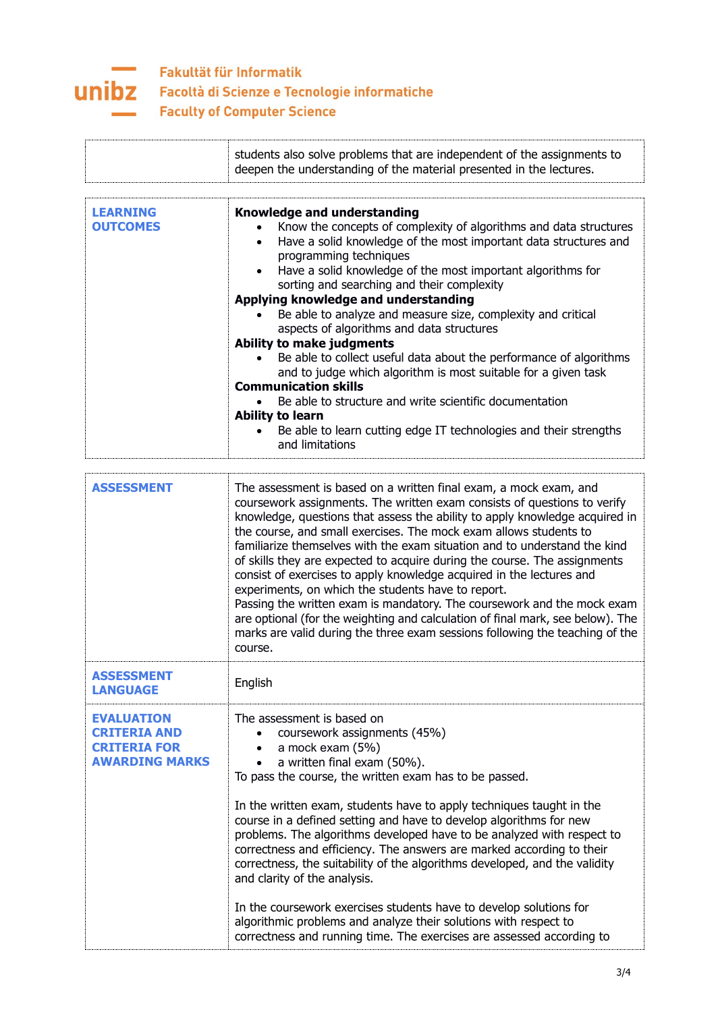

|                                    | students also solve problems that are independent of the assignments to<br>deepen the understanding of the material presented in the lectures.                                                                                                                                                                                                                                                                                                                                                              |
|------------------------------------|-------------------------------------------------------------------------------------------------------------------------------------------------------------------------------------------------------------------------------------------------------------------------------------------------------------------------------------------------------------------------------------------------------------------------------------------------------------------------------------------------------------|
| <b>LEARNING</b><br><b>OUTCOMES</b> | <b>Knowledge and understanding</b><br>Know the concepts of complexity of algorithms and data structures<br>Have a solid knowledge of the most important data structures and<br>programming techniques<br>Have a solid knowledge of the most important algorithms for<br>sorting and searching and their complexity<br>Applying knowledge and understanding<br>Be able to analyze and measure size, complexity and critical<br>aspects of algorithms and data structures<br><b>Ability to make judgments</b> |
|                                    | Be able to collect useful data about the performance of algorithms<br>and to judge which algorithm is most suitable for a given task<br><b>Communication skills</b><br>Be able to structure and write scientific documentation<br><b>Ability to learn</b><br>Be able to learn cutting edge IT technologies and their strengths<br>and limitations                                                                                                                                                           |
| <b>ASSESSMENT</b>                  | The assessment is based on a written final exam a mock exam and                                                                                                                                                                                                                                                                                                                                                                                                                                             |

| <b>ASSESSMENT</b>                                                                        | The assessment is based on a written final exam, a mock exam, and<br>coursework assignments. The written exam consists of questions to verify<br>knowledge, questions that assess the ability to apply knowledge acquired in<br>the course, and small exercises. The mock exam allows students to<br>familiarize themselves with the exam situation and to understand the kind<br>of skills they are expected to acquire during the course. The assignments<br>consist of exercises to apply knowledge acquired in the lectures and<br>experiments, on which the students have to report.<br>Passing the written exam is mandatory. The coursework and the mock exam<br>are optional (for the weighting and calculation of final mark, see below). The<br>marks are valid during the three exam sessions following the teaching of the<br>course. |
|------------------------------------------------------------------------------------------|---------------------------------------------------------------------------------------------------------------------------------------------------------------------------------------------------------------------------------------------------------------------------------------------------------------------------------------------------------------------------------------------------------------------------------------------------------------------------------------------------------------------------------------------------------------------------------------------------------------------------------------------------------------------------------------------------------------------------------------------------------------------------------------------------------------------------------------------------|
| <b>ASSESSMENT</b><br><b>LANGUAGE</b>                                                     | English                                                                                                                                                                                                                                                                                                                                                                                                                                                                                                                                                                                                                                                                                                                                                                                                                                           |
| <b>EVALUATION</b><br><b>CRITERIA AND</b><br><b>CRITERIA FOR</b><br><b>AWARDING MARKS</b> | The assessment is based on<br>coursework assignments (45%)<br>a mock exam (5%)<br>a written final exam (50%).<br>To pass the course, the written exam has to be passed.<br>In the written exam, students have to apply techniques taught in the<br>course in a defined setting and have to develop algorithms for new<br>problems. The algorithms developed have to be analyzed with respect to<br>correctness and efficiency. The answers are marked according to their<br>correctness, the suitability of the algorithms developed, and the validity<br>and clarity of the analysis.<br>In the coursework exercises students have to develop solutions for<br>algorithmic problems and analyze their solutions with respect to<br>correctness and running time. The exercises are assessed according to                                         |